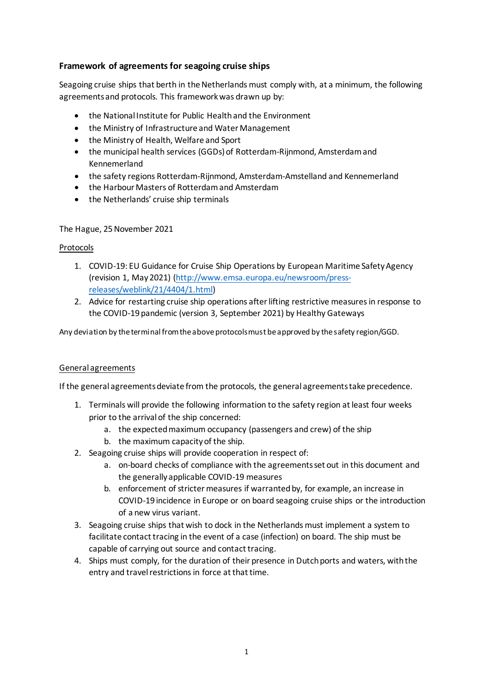# **Framework of agreements for seagoing cruise ships**

Seagoing cruise ships that berth in the Netherlands must comply with, at a minimum, the following agreements and protocols. This framework was drawn up by:

- the National Institute for Public Health and the Environment
- the Ministry of Infrastructure and Water Management
- the Ministry of Health, Welfare and Sport
- the municipal health services (GGDs) of Rotterdam-Rijnmond, Amsterdam and Kennemerland
- the safety regions Rotterdam-Rijnmond, Amsterdam-Amstelland and Kennemerland
- the Harbour Masters of Rotterdam and Amsterdam
- the Netherlands' cruise ship terminals

### The Hague, 25November 2021

### Protocols

- 1. COVID-19: EU Guidance for Cruise Ship Operations by European Maritime Safety Agency (revision 1, May 2021) [\(http://www.emsa.europa.eu/newsroom/press](http://www.emsa.europa.eu/newsroom/press-releases/weblink/21/4404/1.html)[releases/weblink/21/4404/1.html\)](http://www.emsa.europa.eu/newsroom/press-releases/weblink/21/4404/1.html)
- 2. Advice for restarting cruise ship operations after lifting restrictive measures in response to the COVID-19 pandemic (version 3, September 2021) by Healthy Gateways

Any deviation by the terminal from the above protocols must be approved by the safety region/GGD.

## General agreements

If the general agreements deviate from the protocols, the general agreements take precedence.

- 1. Terminals will provide the following information to the safety region at least four weeks prior to the arrival of the ship concerned:
	- a. the expected maximum occupancy (passengers and crew) of the ship
	- b. the maximum capacity of the ship.
- 2. Seagoing cruise ships will provide cooperation in respect of:
	- a. on-board checks of compliance with the agreements set out in this document and the generally applicable COVID-19 measures
	- b. enforcement of stricter measures if warranted by, for example, an increase in COVID-19 incidence in Europe or on board seagoing cruise ships or the introduction of a new virus variant.
- 3. Seagoing cruise ships that wish to dock in the Netherlands must implement a system to facilitate contact tracing in the event of a case (infection) on board. The ship must be capable of carrying out source and contact tracing.
- 4. Ships must comply, for the duration of their presence in Dutch ports and waters, with the entry and travel restrictions in force at that time.